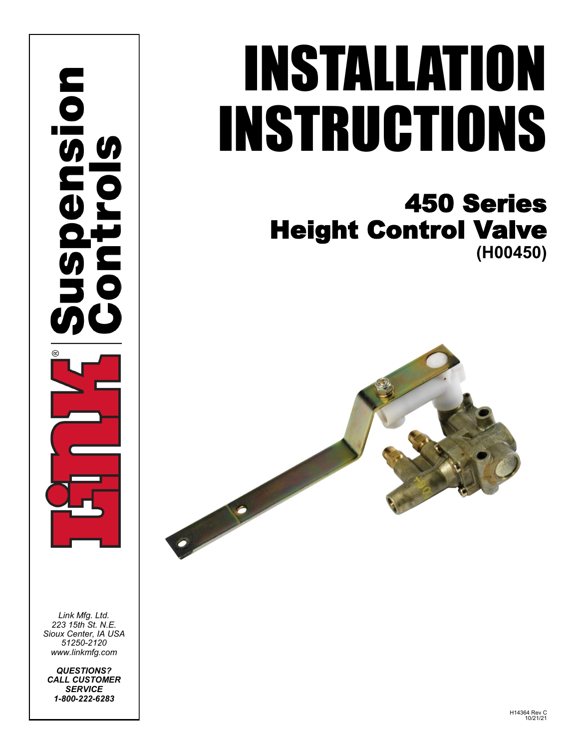ansion

*Link Mfg. Ltd. 223 15th St. N.E. Sioux Center, IA USA 51250-2120 www.linkmfg.com*

*QUESTIONS? CALL CUSTOMER SERVICE 1-800-222-6283*

# INSTALLATION INSTRUCTIONS

## 450 Series Height Control Valve **(H00450)**

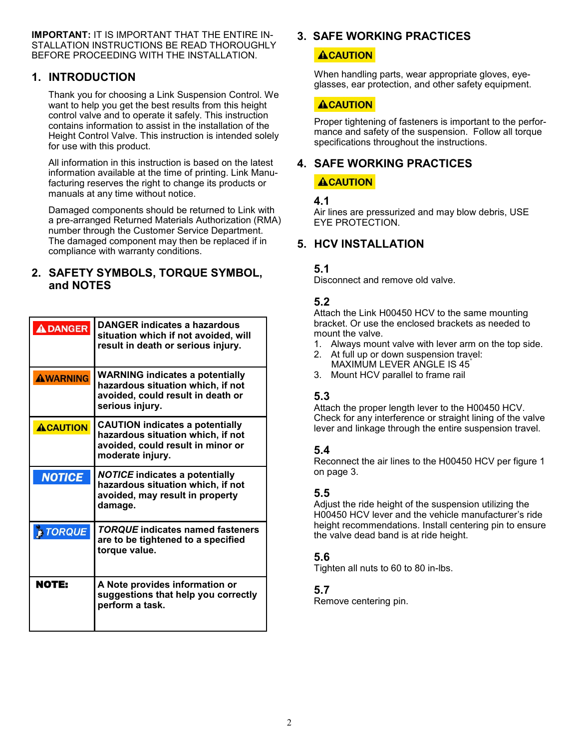**IMPORTANT:** IT IS IMPORTANT THAT THE ENTIRE IN-STALLATION INSTRUCTIONS BE READ THOROUGHLY BEFORE PROCEEDING WITH THE INSTALLATION.

#### **1. INTRODUCTION**

Thank you for choosing a Link Suspension Control. We want to help you get the best results from this height control valve and to operate it safely. This instruction contains information to assist in the installation of the Height Control Valve. This instruction is intended solely for use with this product.

All information in this instruction is based on the latest information available at the time of printing. Link Manufacturing reserves the right to change its products or manuals at any time without notice.

Damaged components should be returned to Link with a pre-arranged Returned Materials Authorization (RMA) number through the Customer Service Department. The damaged component may then be replaced if in compliance with warranty conditions.

#### **2. SAFETY SYMBOLS, TORQUE SYMBOL, and NOTES**

| <b>ADANGER</b>  | <b>DANGER indicates a hazardous</b><br>situation which if not avoided, will<br>result in death or serious injury.                    |
|-----------------|--------------------------------------------------------------------------------------------------------------------------------------|
| <b>AWARNING</b> | <b>WARNING indicates a potentially</b><br>hazardous situation which, if not<br>avoided, could result in death or<br>serious injury.  |
| <b>ACAUTION</b> | <b>CAUTION indicates a potentially</b><br>hazardous situation which, if not<br>avoided, could result in minor or<br>moderate injury. |
| <b>NOTICE</b>   | <b>NOTICE indicates a potentially</b><br>hazardous situation which, if not<br>avoided, may result in property<br>damage.             |
| <b>E TORQUE</b> | <b>TORQUE indicates named fasteners</b><br>are to be tightened to a specified<br>torque value.                                       |
| <b>NOTE:</b>    | A Note provides information or<br>suggestions that help you correctly<br>perform a task.                                             |

#### **3. SAFE WORKING PRACTICES**

#### **ACAUTION**

When handling parts, wear appropriate gloves, eyeglasses, ear protection, and other safety equipment.

#### **ACAUTION**

Proper tightening of fasteners is important to the performance and safety of the suspension. Follow all torque specifications throughout the instructions.

### **4. SAFE WORKING PRACTICES**

#### **ACAUTION**

#### **4.1**

Air lines are pressurized and may blow debris, USE EYE PROTECTION.

#### **5. HCV INSTALLATION**

#### **5.1**

Disconnect and remove old valve.

#### **5.2**

Attach the Link H00450 HCV to the same mounting bracket. Or use the enclosed brackets as needed to mount the valve.

- 1. Always mount valve with lever arm on the top side.
- 2. At full up or down suspension travel: MAXIMUM LEVER ANGLE IS 45°
- 3. Mount HCV parallel to frame rail

#### **5.3**

Attach the proper length lever to the H00450 HCV. Check for any interference or straight lining of the valve lever and linkage through the entire suspension travel.

#### **5.4**

Reconnect the air lines to the H00450 HCV per figure 1 on page 3.

#### **5.5**

Adjust the ride height of the suspension utilizing the H00450 HCV lever and the vehicle manufacturer's ride height recommendations. Install centering pin to ensure the valve dead band is at ride height.

#### **5.6**

Tighten all nuts to 60 to 80 in-lbs.

#### **5.7**

Remove centering pin.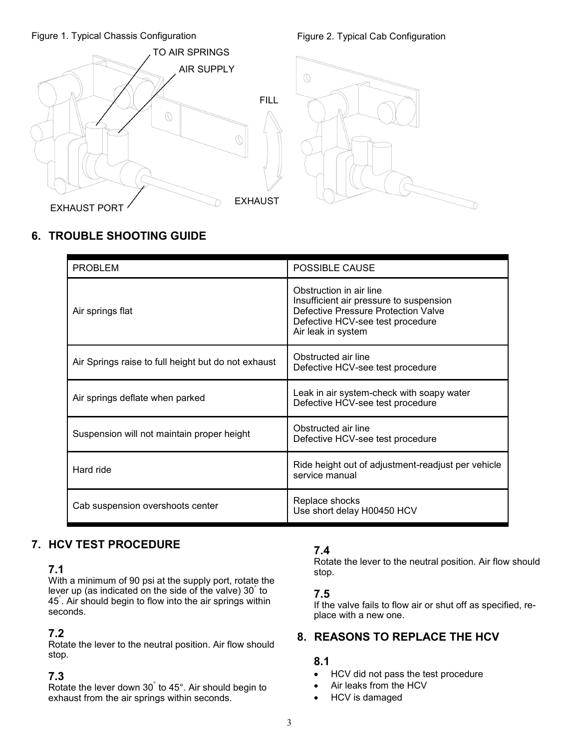#### Figure 1. Typical Chassis Configuration Figure 2. Typical Cab Configuration





#### **6. TROUBLE SHOOTING GUIDE**

| <b>PROBLEM</b>                                      | POSSIBLE CAUSE                                                                                                                                                      |
|-----------------------------------------------------|---------------------------------------------------------------------------------------------------------------------------------------------------------------------|
| Air springs flat                                    | Obstruction in air line<br>Insufficient air pressure to suspension<br>Defective Pressure Protection Valve<br>Defective HCV-see test procedure<br>Air leak in system |
| Air Springs raise to full height but do not exhaust | Obstructed air line<br>Defective HCV-see test procedure                                                                                                             |
| Air springs deflate when parked                     | Leak in air system-check with soapy water<br>Defective HCV-see test procedure                                                                                       |
| Suspension will not maintain proper height          | Obstructed air line<br>Defective HCV-see test procedure                                                                                                             |
| Hard ride                                           | Ride height out of adjustment-readjust per vehicle<br>service manual                                                                                                |
| Cab suspension overshoots center                    | Replace shocks<br>Use short delay H00450 HCV                                                                                                                        |

#### **7. HCV TEST PROCEDURE**

#### **7.1**

With a minimum of 90 psi at the supply port, rotate the lever up (as indicated on the side of the valve) 30° to 45° . Air should begin to flow into the air springs within seconds.

#### **7.2**

Rotate the lever to the neutral position. Air flow should stop.

#### **7.3**

Rotate the lever down 30° to 45°. Air should begin to exhaust from the air springs within seconds.

#### **7.4**

Rotate the lever to the neutral position. Air flow should stop.

#### **7.5**

If the valve fails to flow air or shut off as specified, replace with a new one.

#### **8. REASONS TO REPLACE THE HCV**

#### **8.1**

- HCV did not pass the test procedure
- Air leaks from the HCV
- HCV is damaged